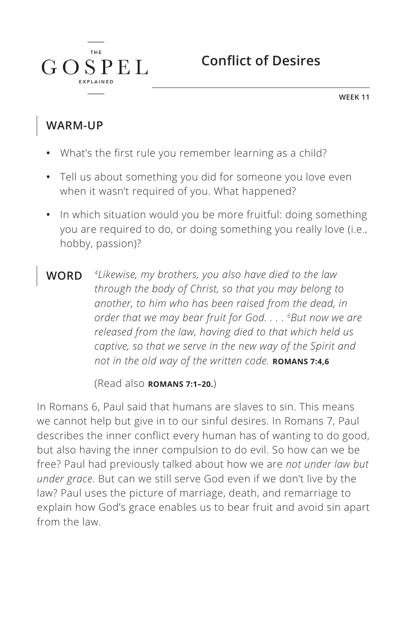**WEEK 11**

### **WARM-UP**

 $G \Omega$ 

**THE** 

**SPEL** 

- **•** What's the first rule you remember learning as a child?
- **•** Tell us about something you did for someone you love even when it wasn't required of you. What happened?
- **•** In which situation would you be more fruitful: doing something you are required to do, or doing something you really love (i.e., hobby, passion)?
- **WORD** *4Likewise, my brothers, you also have died to the law through the body of Christ, so that you may belong to another, to him who has been raised from the dead, in order that we may bear fruit for God. . . . 6But now we are released from the law, having died to that which held us captive, so that we serve in the new way of the Spirit and not in the old way of the written code.* **ROMANS 7:4,6**

(Read also **ROMANS 7:1-20.**)

In Romans 6, Paul said that humans are slaves to sin. This means we cannot help but give in to our sinful desires. In Romans 7, Paul describes the inner conflict every human has of wanting to do good, but also having the inner compulsion to do evil. So how can we be free? Paul had previously talked about how we are *not under law but under grace*. But can we still serve God even if we don't live by the law? Paul uses the picture of marriage, death, and remarriage to explain how God's grace enables us to bear fruit and avoid sin apart from the law.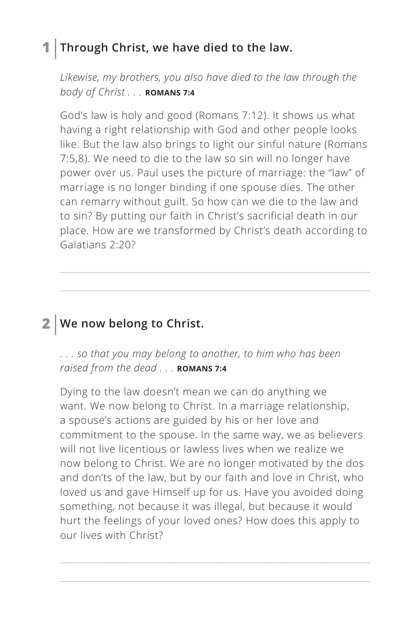### **1 Through Christ, we have died to the law.**

*Likewise, my brothers, you also have died to the law through the body of Christ . . . ^***ROMANS 7:4**

God's law is holy and good (Romans 7:12). It shows us what having a right relationship with God and other people looks like. But the law also brings to light our sinful nature (Romans 7:5,8). We need to die to the law so sin will no longer have power over us. Paul uses the picture of marriage: the "law" of marriage is no longer binding if one spouse dies. The other can remarry without guilt. So how can we die to the law and to sin? By putting our faith in Christ's sacrificial death in our place. How are we transformed by Christ's death according to Galatians 2:20?

**2 We now belong to Christ.**

*. . . so that you may belong to another, to him who has been raised from the dead . . . ROMANS 7:4* 

Dying to the law doesn't mean we can do anything we want. We now belong to Christ. In a marriage relationship, a spouse's actions are guided by his or her love and commitment to the spouse. In the same way, we as believers will not live licentious or lawless lives when we realize we now belong to Christ. We are no longer motivated by the dos and don'ts of the law, but by our faith and love in Christ, who loved us and gave Himself up for us. Have you avoided doing something, not because it was illegal, but because it would hurt the feelings of your loved ones? How does this apply to our lives with Christ?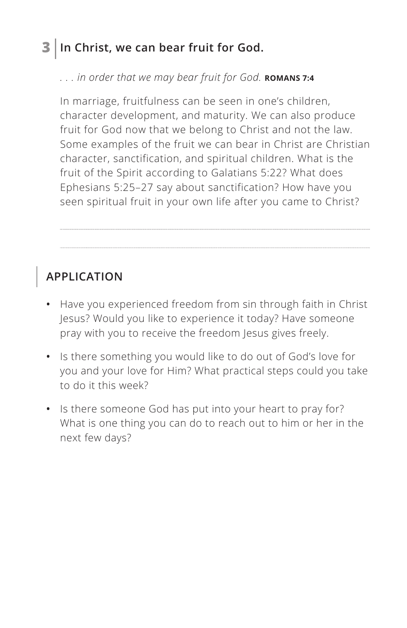### **3 In Christ, we can bear fruit for God.**

#### *. . . in order that we may bear fruit for God. ^***ROMANS 7:4**

In marriage, fruitfulness can be seen in one's children, character development, and maturity. We can also produce fruit for God now that we belong to Christ and not the law. Some examples of the fruit we can bear in Christ are Christian character, sanctification, and spiritual children. What is the fruit of the Spirit according to Galatians 5:22? What does Ephesians 5:25–27 say about sanctification? How have you seen spiritual fruit in your own life after you came to Christ?

## **APPLICATION**

- **•** Have you experienced freedom from sin through faith in Christ Jesus? Would you like to experience it today? Have someone pray with you to receive the freedom Jesus gives freely.
- **•** Is there something you would like to do out of God's love for you and your love for Him? What practical steps could you take to do it this week?
- **•** Is there someone God has put into your heart to pray for? What is one thing you can do to reach out to him or her in the next few days?